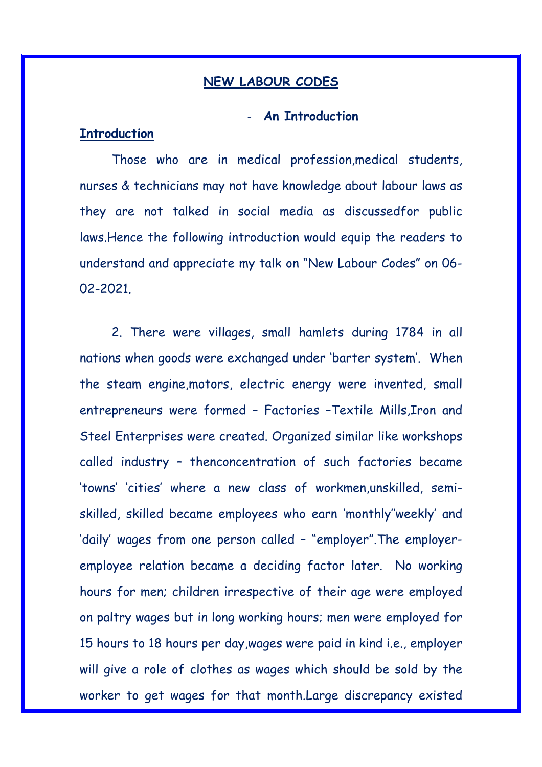#### **NEW LABOUR CODES**

## ‐ **An Introduction**

## **Introduction**

Those who are in medical profession,medical students, nurses & technicians may not have knowledge about labour laws as they are not talked in social media as discussedfor public laws.Hence the following introduction would equip the readers to understand and appreciate my talk on "New Labour Codes" on 06- 02-2021.

2. There were villages, small hamlets during 1784 in all nations when goods were exchanged under 'barter system'. When the steam engine,motors, electric energy were invented, small entrepreneurs were formed – Factories –Textile Mills,Iron and Steel Enterprises were created. Organized similar like workshops called industry – thenconcentration of such factories became 'towns' 'cities' where a new class of workmen,unskilled, semiskilled, skilled became employees who earn 'monthly''weekly' and 'daily' wages from one person called – "employer".The employeremployee relation became a deciding factor later. No working hours for men; children irrespective of their age were employed on paltry wages but in long working hours; men were employed for 15 hours to 18 hours per day,wages were paid in kind i.e., employer will give a role of clothes as wages which should be sold by the worker to get wages for that month.Large discrepancy existed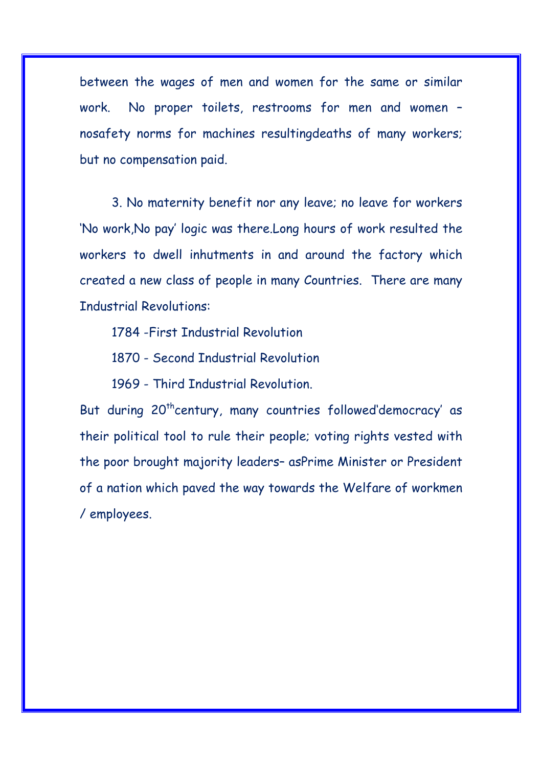between the wages of men and women for the same or similar work. No proper toilets, restrooms for men and women – nosafety norms for machines resultingdeaths of many workers; but no compensation paid.

3. No maternity benefit nor any leave; no leave for workers 'No work,No pay' logic was there.Long hours of work resulted the workers to dwell inhutments in and around the factory which created a new class of people in many Countries. There are many Industrial Revolutions:

1784 -First Industrial Revolution

1870 - Second Industrial Revolution

1969 - Third Industrial Revolution.

But during 20<sup>th</sup>century, many countries followed'democracy' as their political tool to rule their people; voting rights vested with the poor brought majority leaders– asPrime Minister or President of a nation which paved the way towards the Welfare of workmen / employees.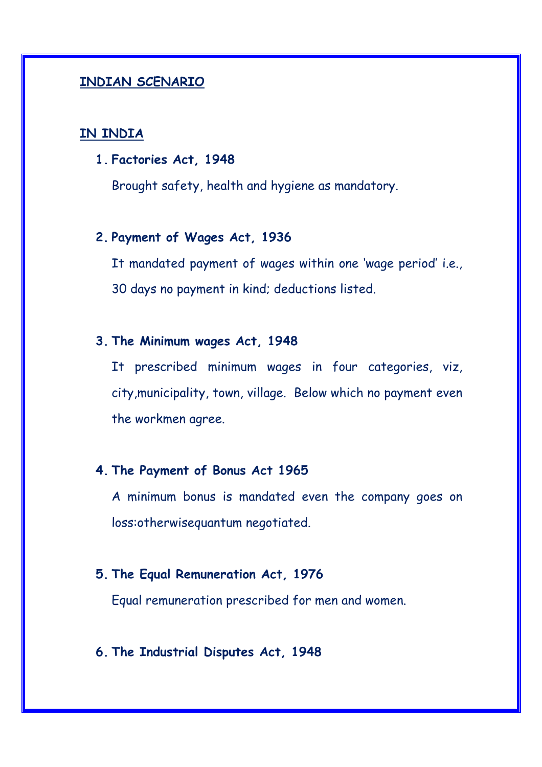## **INDIAN SCENARIO**

## **IN INDIA**

**1. Factories Act, 1948** 

Brought safety, health and hygiene as mandatory.

## **2. Payment of Wages Act, 1936**

It mandated payment of wages within one 'wage period' i.e., 30 days no payment in kind; deductions listed.

## **3. The Minimum wages Act, 1948**

It prescribed minimum wages in four categories, viz, city,municipality, town, village. Below which no payment even the workmen agree.

## **4. The Payment of Bonus Act 1965**

A minimum bonus is mandated even the company goes on loss:otherwisequantum negotiated.

# **5. The Equal Remuneration Act, 1976**

Equal remuneration prescribed for men and women.

## **6. The Industrial Disputes Act, 1948**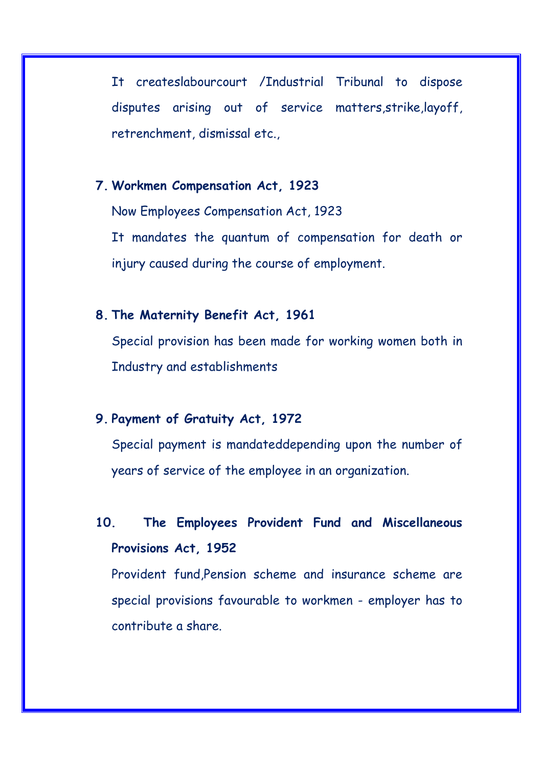It createslabourcourt /Industrial Tribunal to dispose disputes arising out of service matters,strike,layoff, retrenchment, dismissal etc.,

## **7. Workmen Compensation Act, 1923**

Now Employees Compensation Act, 1923 It mandates the quantum of compensation for death or injury caused during the course of employment.

## **8. The Maternity Benefit Act, 1961**

Special provision has been made for working women both in Industry and establishments

## **9. Payment of Gratuity Act, 1972**

Special payment is mandateddepending upon the number of years of service of the employee in an organization.

# **10. The Employees Provident Fund and Miscellaneous Provisions Act, 1952**

Provident fund,Pension scheme and insurance scheme are special provisions favourable to workmen - employer has to contribute a share.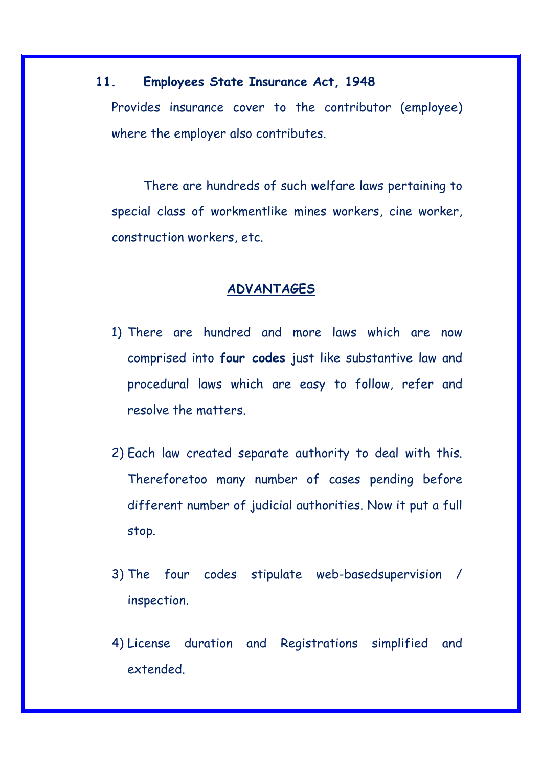### **11. Employees State Insurance Act, 1948**

Provides insurance cover to the contributor (employee) where the employer also contributes.

There are hundreds of such welfare laws pertaining to special class of workmentlike mines workers, cine worker, construction workers, etc.

#### **ADVANTAGES**

- 1) There are hundred and more laws which are now comprised into **four codes** just like substantive law and procedural laws which are easy to follow, refer and resolve the matters.
- 2) Each law created separate authority to deal with this. Thereforetoo many number of cases pending before different number of judicial authorities. Now it put a full stop.
- 3) The four codes stipulate web-basedsupervision / inspection.
- 4) License duration and Registrations simplified and extended.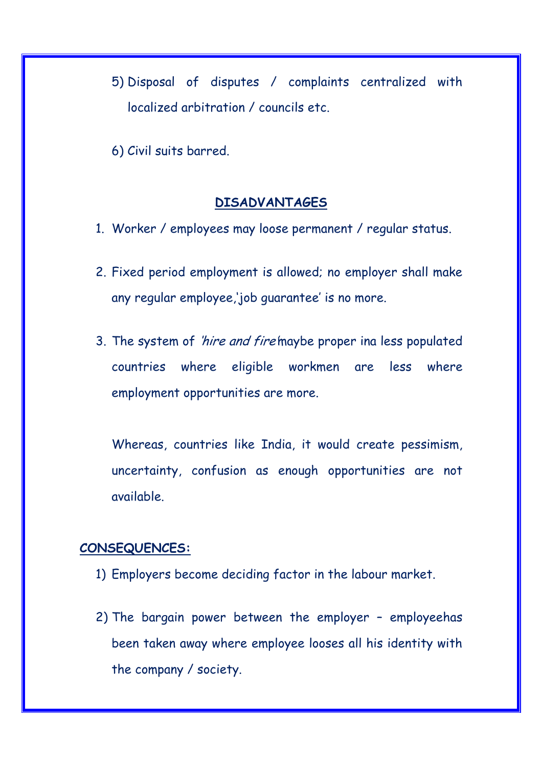5) Disposal of disputes / complaints centralized with localized arbitration / councils etc.

6) Civil suits barred.

#### **DISADVANTAGES**

- 1. Worker / employees may loose permanent / regular status.
- 2. Fixed period employment is allowed; no employer shall make any regular employee,'job guarantee' is no more.
- 3. The system of 'hire and fire'maybe proper ina less populated countries where eligible workmen are less where employment opportunities are more.

Whereas, countries like India, it would create pessimism, uncertainty, confusion as enough opportunities are not available.

#### **CONSEQUENCES:**

- 1) Employers become deciding factor in the labour market.
- 2) The bargain power between the employer employeehas been taken away where employee looses all his identity with the company / society.